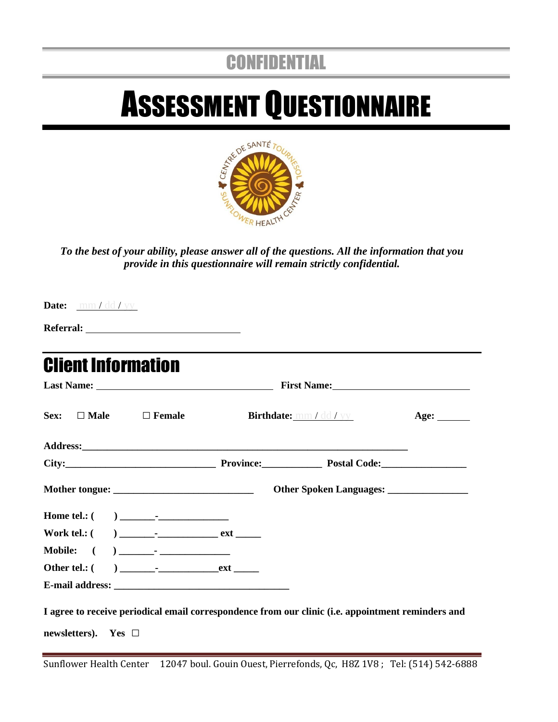# **CONFIDENTIAL**

# ASSESSMENT QUESTIONNAIRE



*To the best of your ability, please answer all of the questions. All the information that you provide in this questionnaire will remain strictly confidential.*

**Date:** mm / dd / yy

**Referral:** 

| <b>Client Information</b>                                                                          |  |                         |      |
|----------------------------------------------------------------------------------------------------|--|-------------------------|------|
|                                                                                                    |  |                         |      |
| $Sex: \Box$ Male $\Box$ Female                                                                     |  | Birthdate: mm / dd / yy | Age: |
|                                                                                                    |  |                         |      |
|                                                                                                    |  |                         |      |
|                                                                                                    |  |                         |      |
|                                                                                                    |  |                         |      |
|                                                                                                    |  |                         |      |
|                                                                                                    |  |                         |      |
|                                                                                                    |  |                         |      |
|                                                                                                    |  |                         |      |
| I agree to receive periodical email correspondence from our clinic (i.e. appointment reminders and |  |                         |      |
| newsletters). Yes $\Box$                                                                           |  |                         |      |

Sunflower Health Center 12047 boul. Gouin Ouest, Pierrefonds, Qc, H8Z 1V8 ; Tel: (514) 542-6888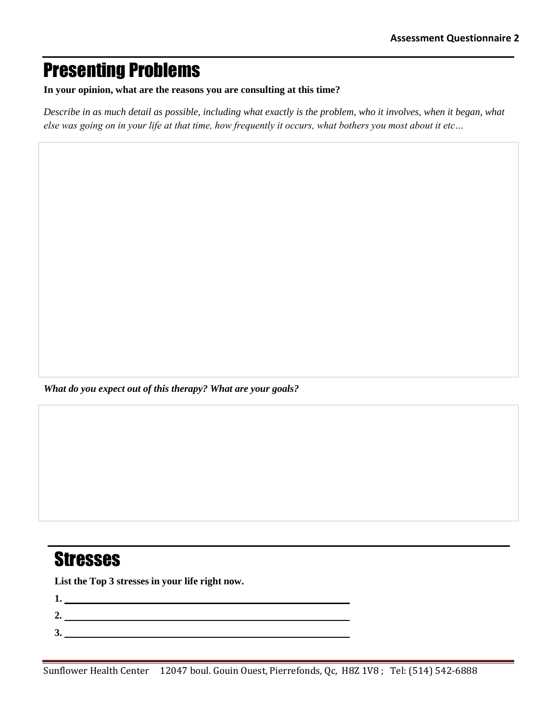#### Presenting Problems

**In your opinion, what are the reasons you are consulting at this time?** 

*Describe in as much detail as possible, including what exactly is the problem, who it involves, when it began, what else was going on in your life at that time, how frequently it occurs, what bothers you most about it etc…*

*What do you expect out of this therapy? What are your goals?*

#### **Stresses**

**List the Top 3 stresses in your life right now.**

- **1. 2.**
- **3.**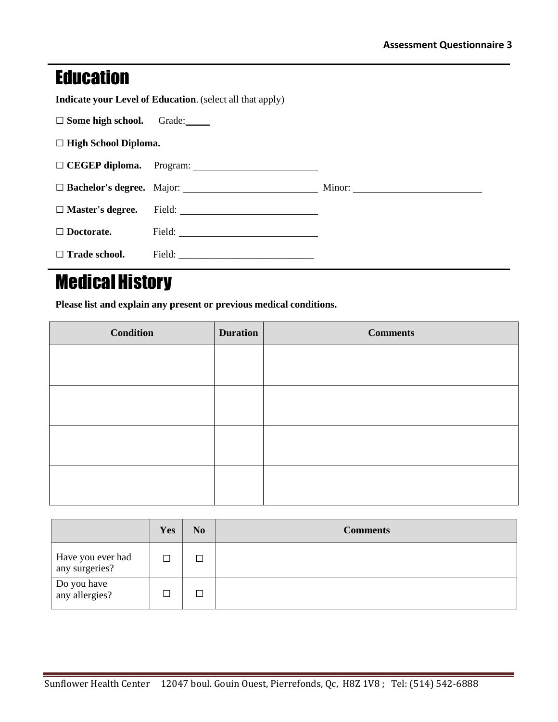#### **Education**

**Indicate your Level of Education**. (select all that apply)

| $\Box$ Some high school. | Grade: |
|--------------------------|--------|
|--------------------------|--------|

**□ High School Diploma.** 

| $\Box$ Doctorate.    |  |
|----------------------|--|
| $\Box$ Trade school. |  |

## Medical History

**Please list and explain any present or previous medical conditions.**

| <b>Condition</b> | <b>Duration</b> | <b>Comments</b> |
|------------------|-----------------|-----------------|
|                  |                 |                 |
|                  |                 |                 |
|                  |                 |                 |
|                  |                 |                 |
|                  |                 |                 |
|                  |                 |                 |
|                  |                 |                 |
|                  |                 |                 |

|                                     | Yes | N <sub>0</sub>           | <b>Comments</b> |
|-------------------------------------|-----|--------------------------|-----------------|
| Have you ever had<br>any surgeries? |     | $\overline{\phantom{a}}$ |                 |
| Do you have<br>any allergies?       |     | J.                       |                 |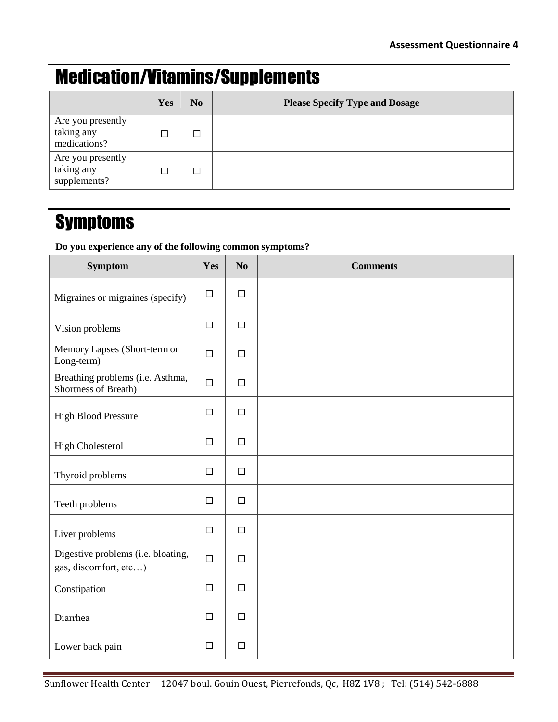## Medication/Vitamins/Supplements

|                                                 | Yes | N <sub>0</sub> | <b>Please Specify Type and Dosage</b> |
|-------------------------------------------------|-----|----------------|---------------------------------------|
| Are you presently<br>taking any<br>medications? |     |                |                                       |
| Are you presently<br>taking any<br>supplements? |     |                |                                       |

#### **Symptoms**

#### **Do you experience any of the following common symptoms?**

| <b>Symptom</b>                                              | Yes    | No     | <b>Comments</b> |
|-------------------------------------------------------------|--------|--------|-----------------|
| Migraines or migraines (specify)                            | $\Box$ | $\Box$ |                 |
| Vision problems                                             | $\Box$ | $\Box$ |                 |
| Memory Lapses (Short-term or<br>Long-term)                  | $\Box$ | $\Box$ |                 |
| Breathing problems (i.e. Asthma,<br>Shortness of Breath)    | $\Box$ | $\Box$ |                 |
| <b>High Blood Pressure</b>                                  | $\Box$ | $\Box$ |                 |
| <b>High Cholesterol</b>                                     | $\Box$ | $\Box$ |                 |
| Thyroid problems                                            | $\Box$ | $\Box$ |                 |
| Teeth problems                                              | $\Box$ | $\Box$ |                 |
| Liver problems                                              | $\Box$ | $\Box$ |                 |
| Digestive problems (i.e. bloating,<br>gas, discomfort, etc) | $\Box$ | $\Box$ |                 |
| Constipation                                                | $\Box$ | $\Box$ |                 |
| Diarrhea                                                    | $\Box$ | $\Box$ |                 |
| Lower back pain                                             | $\Box$ | $\Box$ |                 |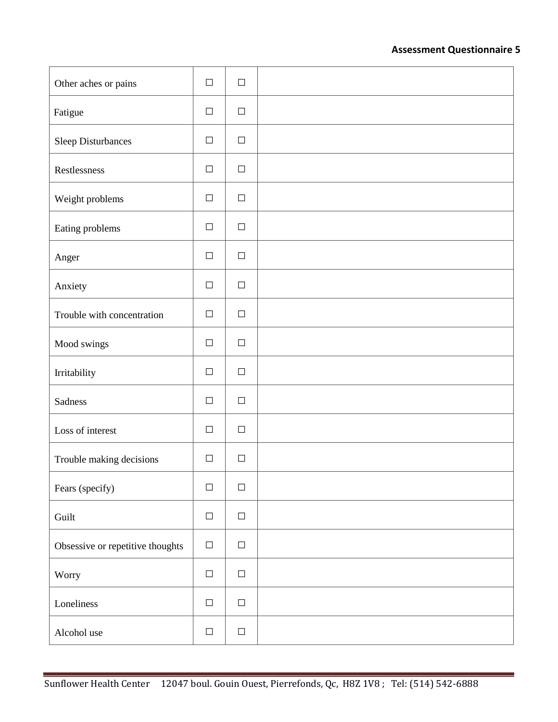#### **Assessment Questionnaire 5**

| Other aches or pains             | $\Box$ | $\Box$ |  |
|----------------------------------|--------|--------|--|
| Fatigue                          | $\Box$ | $\Box$ |  |
| Sleep Disturbances               | $\Box$ | $\Box$ |  |
| Restlessness                     | $\Box$ | $\Box$ |  |
| Weight problems                  | $\Box$ | $\Box$ |  |
| Eating problems                  | $\Box$ | $\Box$ |  |
| Anger                            | $\Box$ | $\Box$ |  |
| Anxiety                          | $\Box$ | $\Box$ |  |
| Trouble with concentration       | $\Box$ | $\Box$ |  |
| Mood swings                      | $\Box$ | $\Box$ |  |
| Irritability                     | $\Box$ | $\Box$ |  |
| Sadness                          | $\Box$ | $\Box$ |  |
| Loss of interest                 | $\Box$ | $\Box$ |  |
| Trouble making decisions         | $\Box$ | $\Box$ |  |
| Fears (specify)                  | $\Box$ | $\Box$ |  |
| Guilt                            | $\Box$ | $\Box$ |  |
| Obsessive or repetitive thoughts | $\Box$ | $\Box$ |  |
| Worry                            | $\Box$ | $\Box$ |  |
| Loneliness                       | $\Box$ | $\Box$ |  |
| Alcohol use                      | $\Box$ | $\Box$ |  |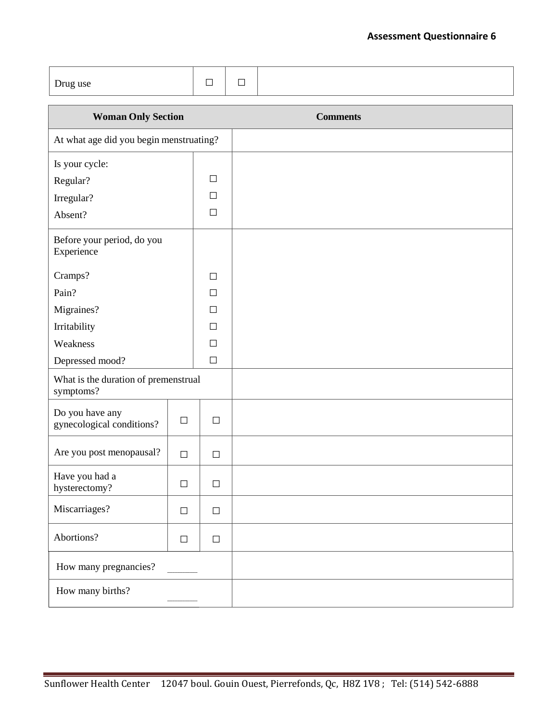| Drug use                                          |        | $\Box$ | $\Box$ |                 |
|---------------------------------------------------|--------|--------|--------|-----------------|
| <b>Woman Only Section</b>                         |        |        |        | <b>Comments</b> |
| At what age did you begin menstruating?           |        |        |        |                 |
| Is your cycle:                                    |        |        |        |                 |
| Regular?                                          |        | $\Box$ |        |                 |
| Irregular?                                        |        | $\Box$ |        |                 |
| Absent?                                           |        | □      |        |                 |
| Before your period, do you<br>Experience          |        |        |        |                 |
| Cramps?                                           |        | $\Box$ |        |                 |
| Pain?                                             |        | $\Box$ |        |                 |
| Migraines?                                        |        |        |        |                 |
| Irritability                                      |        | $\Box$ |        |                 |
| Weakness                                          |        | $\Box$ |        |                 |
| Depressed mood?                                   |        | $\Box$ |        |                 |
| What is the duration of premenstrual<br>symptoms? |        |        |        |                 |
| Do you have any<br>gynecological conditions?      | $\Box$ | $\Box$ |        |                 |
| Are you post menopausal?                          | $\Box$ | $\Box$ |        |                 |
| Have you had a<br>hysterectomy?                   | $\Box$ | $\Box$ |        |                 |
| Miscarriages?                                     | $\Box$ | $\Box$ |        |                 |
| Abortions?                                        | $\Box$ | $\Box$ |        |                 |
| How many pregnancies?                             |        |        |        |                 |
| How many births?                                  |        |        |        |                 |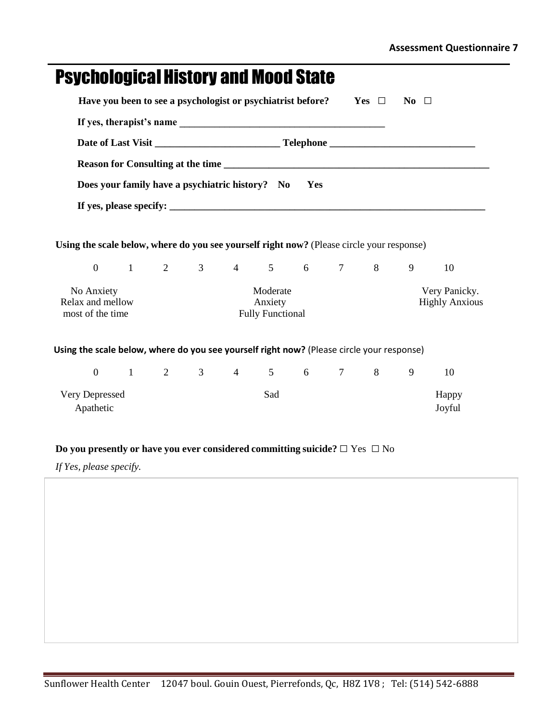| <b>Psychological History and Mood State</b>                                                                                                                       |  |               |                |                |                                                |                 |           |              |                  |                                              |
|-------------------------------------------------------------------------------------------------------------------------------------------------------------------|--|---------------|----------------|----------------|------------------------------------------------|-----------------|-----------|--------------|------------------|----------------------------------------------|
| Have you been to see a psychologist or psychiatrist before?                                                                                                       |  |               |                |                |                                                |                 |           | $Yes$ $\Box$ | $\bf{No}$ $\Box$ |                                              |
|                                                                                                                                                                   |  |               |                |                |                                                |                 |           |              |                  |                                              |
|                                                                                                                                                                   |  |               |                |                |                                                |                 |           |              |                  |                                              |
|                                                                                                                                                                   |  |               |                |                |                                                |                 |           |              |                  |                                              |
| Does your family have a psychiatric history? No                                                                                                                   |  |               |                |                |                                                | <b>Yes</b>      |           |              |                  |                                              |
|                                                                                                                                                                   |  |               |                |                |                                                |                 |           |              |                  |                                              |
| Using the scale below, where do you see yourself right now? (Please circle your response)<br>$\overline{0}$<br>No Anxiety<br>Relax and mellow<br>most of the time |  | $1 \t 2 \t 3$ |                |                | Moderate<br>Anxiety<br><b>Fully Functional</b> |                 |           | 4 5 6 7 8    | 9                | 10<br>Very Panicky.<br><b>Highly Anxious</b> |
| Using the scale below, where do you see yourself right now? (Please circle your response)<br>$\overline{0}$                                                       |  | $1 \t 2$      | 3 <sup>1</sup> | $\overline{4}$ | $5^{\circ}$                                    | $6\overline{6}$ | $7 \quad$ | 8            | 9                | 10                                           |
| Very Depressed<br>Apathetic                                                                                                                                       |  |               |                |                | Sad                                            |                 |           |              |                  | Happy<br>Joyful                              |

#### **Do you presently or have you ever considered committing suicide?□** Yes **□** No

*If Yes, please specify.*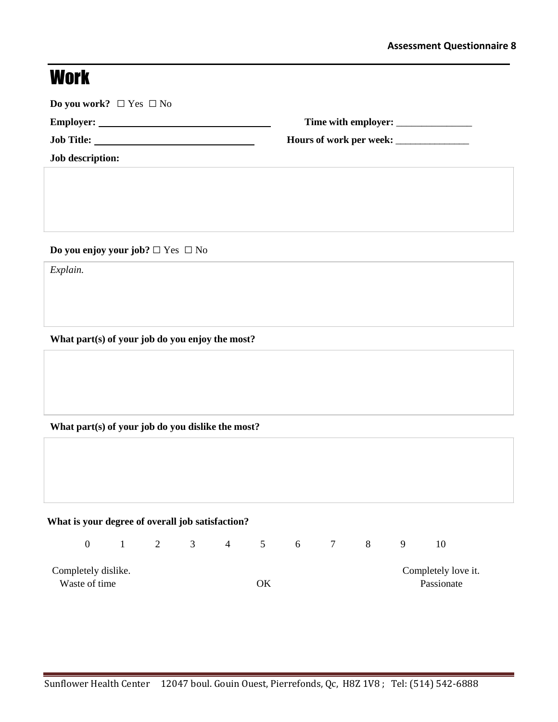# **Work**

| Employer:               |  |
|-------------------------|--|
| <b>Job Title:</b>       |  |
| <b>Job description:</b> |  |

**Do you enjoy your job? □** Yes **□** No

*Explain.*

**What part(s) of your job do you enjoy the most?**

#### **What part(s) of your job do you dislike the most?**

| What is your degree of overall job satisfaction? |  |  |  |  |                   |  |  |  |    |                     |  |  |
|--------------------------------------------------|--|--|--|--|-------------------|--|--|--|----|---------------------|--|--|
|                                                  |  |  |  |  | 0 1 2 3 4 5 6 7 8 |  |  |  | -9 | 10                  |  |  |
| Completely dislike.                              |  |  |  |  |                   |  |  |  |    | Completely love it. |  |  |
| Waste of time                                    |  |  |  |  | ОK                |  |  |  |    | Passionate          |  |  |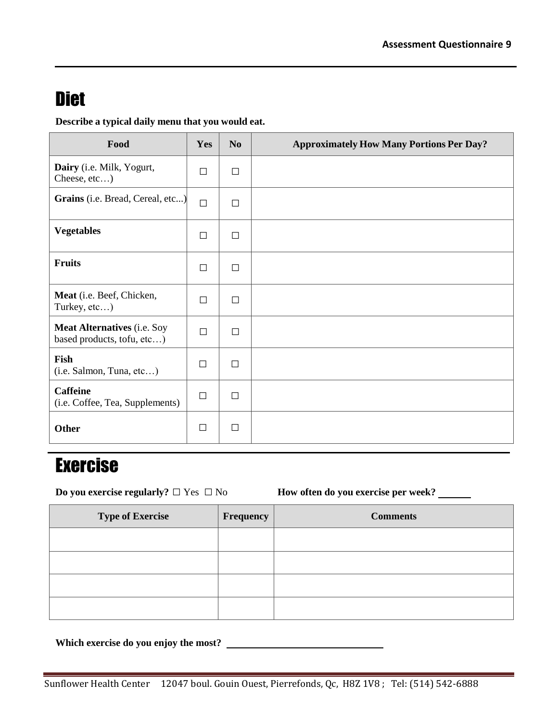#### **Diet**

**Describe a typical daily menu that you would eat.**

| Food                                                             | Yes    | N <sub>0</sub> | <b>Approximately How Many Portions Per Day?</b> |
|------------------------------------------------------------------|--------|----------------|-------------------------------------------------|
| Dairy (i.e. Milk, Yogurt,<br>Cheese, etc)                        | $\Box$ | $\Box$         |                                                 |
| Grains (i.e. Bread, Cereal, etc)                                 | $\Box$ | $\Box$         |                                                 |
| <b>Vegetables</b>                                                | $\Box$ | $\Box$         |                                                 |
| <b>Fruits</b>                                                    | $\Box$ | $\Box$         |                                                 |
| Meat (i.e. Beef, Chicken,<br>Turkey, etc)                        | $\Box$ | $\Box$         |                                                 |
| <b>Meat Alternatives (i.e. Soy</b><br>based products, tofu, etc) | $\Box$ | $\Box$         |                                                 |
| Fish<br>(i.e. Salmon, Tuna, etc)                                 | □      | $\Box$         |                                                 |
| <b>Caffeine</b><br>(i.e. Coffee, Tea, Supplements)               | П      | П              |                                                 |
| Other                                                            | $\Box$ | $\Box$         |                                                 |

## Exercise

**Do** you exercise regularly? □ Yes □ No **How often do you exercise per week? \_\_\_\_\_** 

| <b>Type of Exercise</b> | Frequency | <b>Comments</b> |
|-------------------------|-----------|-----------------|
|                         |           |                 |
|                         |           |                 |
|                         |           |                 |
|                         |           |                 |

**Which exercise do you enjoy the most?**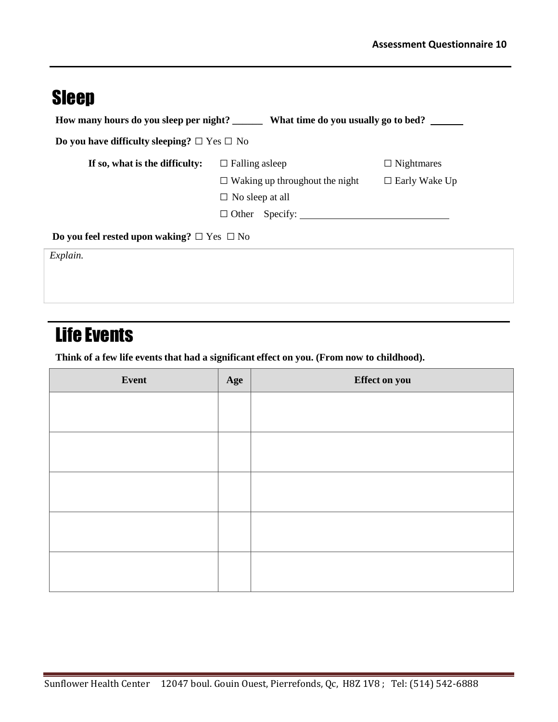## Sleep

| How many hours do you sleep per night?                | What time do you usually go to bed?   |                      |  |
|-------------------------------------------------------|---------------------------------------|----------------------|--|
| Do you have difficulty sleeping? $\Box$ Yes $\Box$ No |                                       |                      |  |
| If so, what is the difficulty:                        | $\Box$ Falling as leep                | $\Box$ Nightmares    |  |
|                                                       | $\Box$ Waking up throughout the night | $\Box$ Early Wake Up |  |
|                                                       | $\Box$ No sleep at all                |                      |  |
|                                                       |                                       |                      |  |
| Do you feel rested upon waking? $\Box$ Yes $\Box$ No  |                                       |                      |  |
| Explain.                                              |                                       |                      |  |
|                                                       |                                       |                      |  |

#### Life Events

**Think of a few life events that had a significant effect on you. (From now to childhood).**

| Event | Age | Effect on you |
|-------|-----|---------------|
|       |     |               |
|       |     |               |
|       |     |               |
|       |     |               |
|       |     |               |
|       |     |               |
|       |     |               |
|       |     |               |
|       |     |               |
|       |     |               |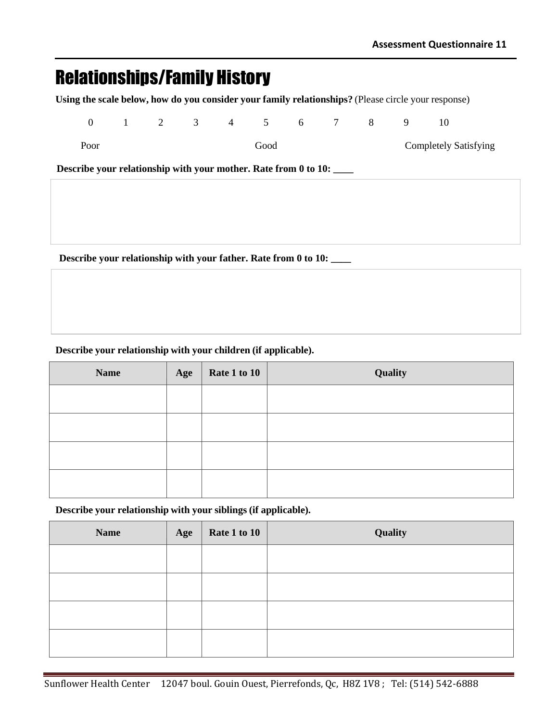#### Relationships/Family History

**Using the scale below, how do you consider your family relationships?** (Please circle your response)

| $\overline{0}$                                                  |  |  | $1 \t2 \t3 \t4 \t5 \t6 \t7 \t8$ |  | 9 | 10                           |  |
|-----------------------------------------------------------------|--|--|---------------------------------|--|---|------------------------------|--|
| Poor                                                            |  |  | Good                            |  |   | <b>Completely Satisfying</b> |  |
| Describe your relationship with your mother. Rate from 0 to 10: |  |  |                                 |  |   |                              |  |
|                                                                 |  |  |                                 |  |   |                              |  |
|                                                                 |  |  |                                 |  |   |                              |  |
|                                                                 |  |  |                                 |  |   |                              |  |

**Describe your relationship with your father. Rate from 0 to 10: \_\_\_\_**

#### **Describe your relationship with your children (if applicable).**

| <b>Name</b> | Age | Rate 1 to 10 | Quality |
|-------------|-----|--------------|---------|
|             |     |              |         |
|             |     |              |         |
|             |     |              |         |
|             |     |              |         |

**Describe your relationship with your siblings (if applicable).**

| <b>Name</b> | Age | Rate 1 to 10 | Quality |
|-------------|-----|--------------|---------|
|             |     |              |         |
|             |     |              |         |
|             |     |              |         |
|             |     |              |         |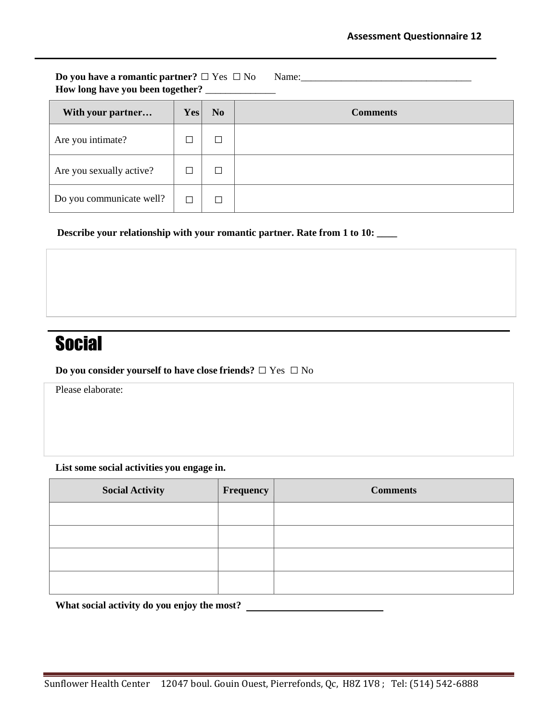**Do you have a romantic partner? □** Yes **□** No Name:\_\_\_\_\_\_\_\_\_\_\_\_\_\_\_\_\_\_\_\_\_\_\_\_\_\_\_\_\_\_\_\_\_\_ **How long have you been together?** \_\_\_\_\_\_\_\_\_\_\_\_\_\_

| With your partner        | Yes | N <sub>0</sub> | <b>Comments</b> |
|--------------------------|-----|----------------|-----------------|
| Are you intimate?        |     |                |                 |
| Are you sexually active? | Γ   |                |                 |
| Do you communicate well? |     |                |                 |

 **Describe your relationship with your romantic partner. Rate from 1 to 10: \_\_\_\_**

## **Social**

**Do you consider yourself to have close friends? □** Yes **□** No

Please elaborate:

**List some social activities you engage in.**

| <b>Social Activity</b> | Frequency | <b>Comments</b> |
|------------------------|-----------|-----------------|
|                        |           |                 |
|                        |           |                 |
|                        |           |                 |
|                        |           |                 |

**What social activity do you enjoy the most?**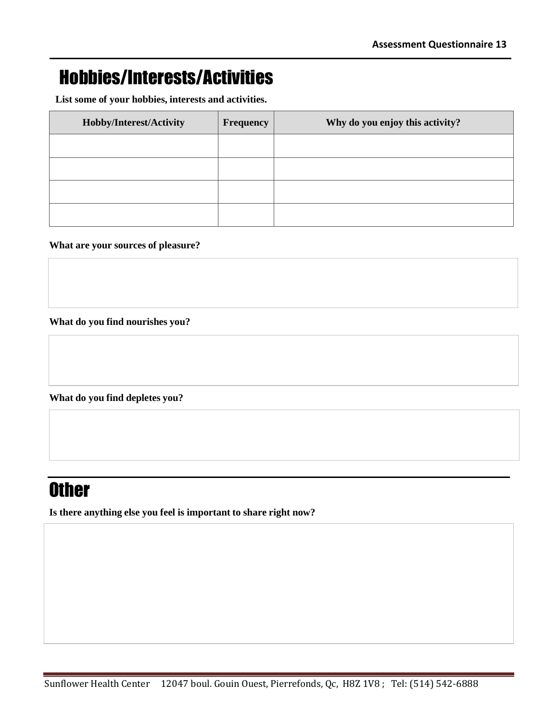## Hobbies/Interests/Activities

**List some of your hobbies, interests and activities.**

| Hobby/Interest/Activity | <b>Frequency</b> | Why do you enjoy this activity? |
|-------------------------|------------------|---------------------------------|
|                         |                  |                                 |
|                         |                  |                                 |
|                         |                  |                                 |
|                         |                  |                                 |

#### **What are your sources of pleasure?**

**What do you find nourishes you?**

**What do you find depletes you?**

#### **Other**

**Is there anything else you feel is important to share right now?**